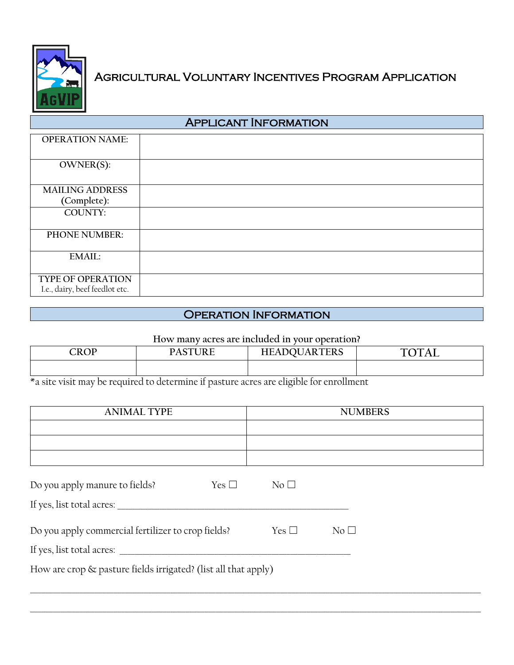

## Agricultural Voluntary Incentives Program Application

| <b>APPLICANT INFORMATION</b>                               |  |  |  |  |
|------------------------------------------------------------|--|--|--|--|
| <b>OPERATION NAME:</b>                                     |  |  |  |  |
| OWNER(S):                                                  |  |  |  |  |
| <b>MAILING ADDRESS</b>                                     |  |  |  |  |
| (Complete):                                                |  |  |  |  |
| <b>COUNTY:</b>                                             |  |  |  |  |
| PHONE NUMBER:                                              |  |  |  |  |
| <b>EMAIL:</b>                                              |  |  |  |  |
| <b>TYPE OF OPERATION</b><br>I.e., dairy, beef feedlot etc. |  |  |  |  |

## Operation Information

## **How many acres are included in your operation?**

| CROP | $\alpha$ TIJD $\Gamma$<br><u>т</u> ы<br>◡ | <b>NDOUARTERS</b><br>HFA | <b>TOTAI</b><br>- |
|------|-------------------------------------------|--------------------------|-------------------|
|      |                                           |                          |                   |

\*a site visit may be required to determine if pasture acres are eligible for enrollment

| <b>ANIMAL TYPE</b>                                             | <b>NUMBERS</b>  |                 |  |  |  |  |
|----------------------------------------------------------------|-----------------|-----------------|--|--|--|--|
|                                                                |                 |                 |  |  |  |  |
|                                                                |                 |                 |  |  |  |  |
|                                                                |                 |                 |  |  |  |  |
| Do you apply manure to fields?<br>Yes $\square$                | No <sub>1</sub> |                 |  |  |  |  |
| If yes, list total acres:                                      |                 |                 |  |  |  |  |
| Do you apply commercial fertilizer to crop fields?             | Yes $\Box$      | No <sub>1</sub> |  |  |  |  |
| If yes, list total acres:                                      |                 |                 |  |  |  |  |
| How are crop & pasture fields irrigated? (list all that apply) |                 |                 |  |  |  |  |
|                                                                |                 |                 |  |  |  |  |
|                                                                |                 |                 |  |  |  |  |

\_\_\_\_\_\_\_\_\_\_\_\_\_\_\_\_\_\_\_\_\_\_\_\_\_\_\_\_\_\_\_\_\_\_\_\_\_\_\_\_\_\_\_\_\_\_\_\_\_\_\_\_\_\_\_\_\_\_\_\_\_\_\_\_\_\_\_\_\_\_\_\_\_\_\_\_\_\_\_\_\_\_\_\_\_\_\_\_\_\_\_\_\_\_\_\_\_\_\_\_\_\_\_\_\_\_\_\_\_\_\_\_\_\_\_\_\_\_\_